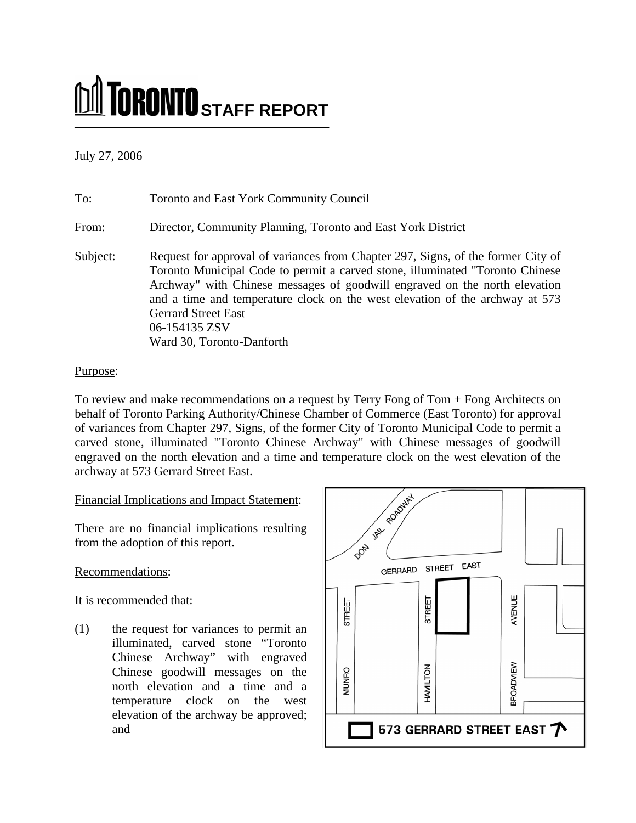# **STAFF REPORT**

July 27, 2006

## To: Toronto and East York Community Council From: Director, Community Planning, Toronto and East York District Subject: Request for approval of variances from Chapter 297, Signs, of the former City of Toronto Municipal Code to permit a carved stone, illuminated "Toronto Chinese Archway" with Chinese messages of goodwill engraved on the north elevation and a time and temperature clock on the west elevation of the archway at 573 Gerrard Street East 06**-**154135 ZSV Ward 30, Toronto-Danforth

#### Purpose:

To review and make recommendations on a request by Terry Fong of Tom + Fong Architects on behalf of Toronto Parking Authority/Chinese Chamber of Commerce (East Toronto) for approval of variances from Chapter 297, Signs, of the former City of Toronto Municipal Code to permit a carved stone, illuminated "Toronto Chinese Archway" with Chinese messages of goodwill engraved on the north elevation and a time and temperature clock on the west elevation of the archway at 573 Gerrard Street East.

Financial Implications and Impact Statement:

There are no financial implications resulting from the adoption of this report.

### Recommendations:

It is recommended that:

(1) the request for variances to permit an illuminated, carved stone "Toronto Chinese Archway" with engraved Chinese goodwill messages on the north elevation and a time and a temperature clock on the west elevation of the archway be approved; and

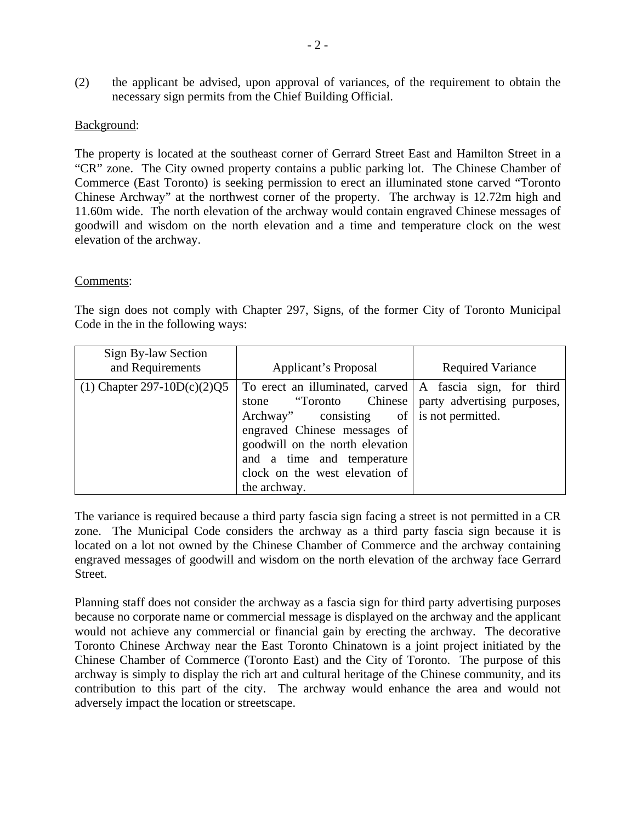(2) the applicant be advised, upon approval of variances, of the requirement to obtain the necessary sign permits from the Chief Building Official.

#### Background:

The property is located at the southeast corner of Gerrard Street East and Hamilton Street in a "CR" zone. The City owned property contains a public parking lot. The Chinese Chamber of Commerce (East Toronto) is seeking permission to erect an illuminated stone carved "Toronto Chinese Archway" at the northwest corner of the property. The archway is 12.72m high and 11.60m wide. The north elevation of the archway would contain engraved Chinese messages of goodwill and wisdom on the north elevation and a time and temperature clock on the west elevation of the archway.

#### Comments:

The sign does not comply with Chapter 297, Signs, of the former City of Toronto Municipal Code in the in the following ways:

| Sign By-law Section<br>and Requirements | Applicant's Proposal                                                                                                                                                                                                                                                                                                | <b>Required Variance</b> |
|-----------------------------------------|---------------------------------------------------------------------------------------------------------------------------------------------------------------------------------------------------------------------------------------------------------------------------------------------------------------------|--------------------------|
| (1) Chapter 297-10D(c)(2)Q5             | To erect an illuminated, carved $ A $ fascia sign, for third<br>stone "Toronto Chinese   party advertising purposes,<br>Archway" consisting of is not permitted.<br>engraved Chinese messages of<br>goodwill on the north elevation<br>and a time and temperature<br>clock on the west elevation of<br>the archway. |                          |

The variance is required because a third party fascia sign facing a street is not permitted in a CR zone. The Municipal Code considers the archway as a third party fascia sign because it is located on a lot not owned by the Chinese Chamber of Commerce and the archway containing engraved messages of goodwill and wisdom on the north elevation of the archway face Gerrard Street.

Planning staff does not consider the archway as a fascia sign for third party advertising purposes because no corporate name or commercial message is displayed on the archway and the applicant would not achieve any commercial or financial gain by erecting the archway. The decorative Toronto Chinese Archway near the East Toronto Chinatown is a joint project initiated by the Chinese Chamber of Commerce (Toronto East) and the City of Toronto. The purpose of this archway is simply to display the rich art and cultural heritage of the Chinese community, and its contribution to this part of the city. The archway would enhance the area and would not adversely impact the location or streetscape.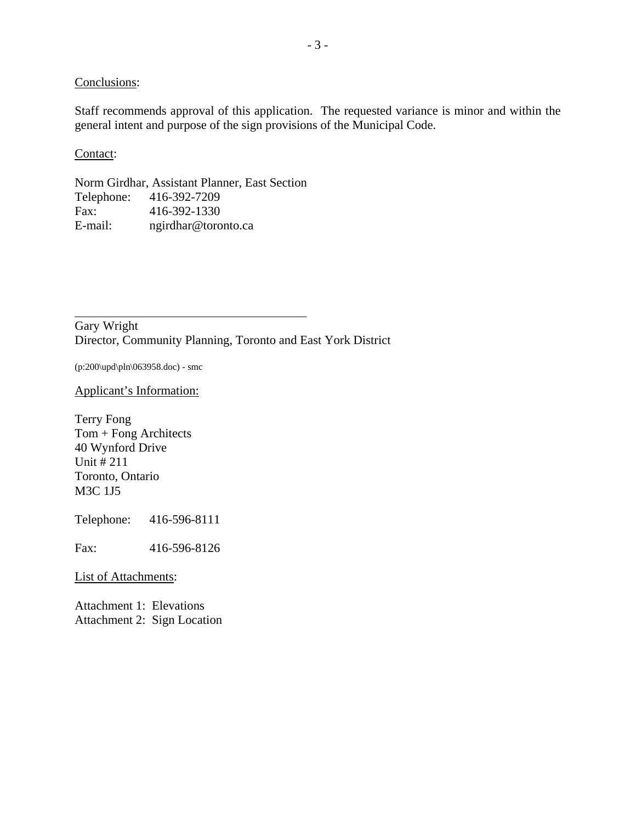Conclusions:

Staff recommends approval of this application. The requested variance is minor and within the general intent and purpose of the sign provisions of the Municipal Code.

Contact:

Norm Girdhar, Assistant Planner, East Section Telephone: 416-392-7209<br>Fax: 416-392-1330 Fax: 416-392-1330 E-mail: ngirdhar@toronto.ca

Gary Wright Director, Community Planning, Toronto and East York District

(p:200\upd\pln\063958.doc) - smc

Applicant's Information:

Terry Fong Tom + Fong Architects 40 Wynford Drive Unit # 211 Toronto, Ontario M3C 1J5

Telephone: 416-596-8111

Fax: 416-596-8126

List of Attachments:

Attachment 1: Elevations Attachment 2: Sign Location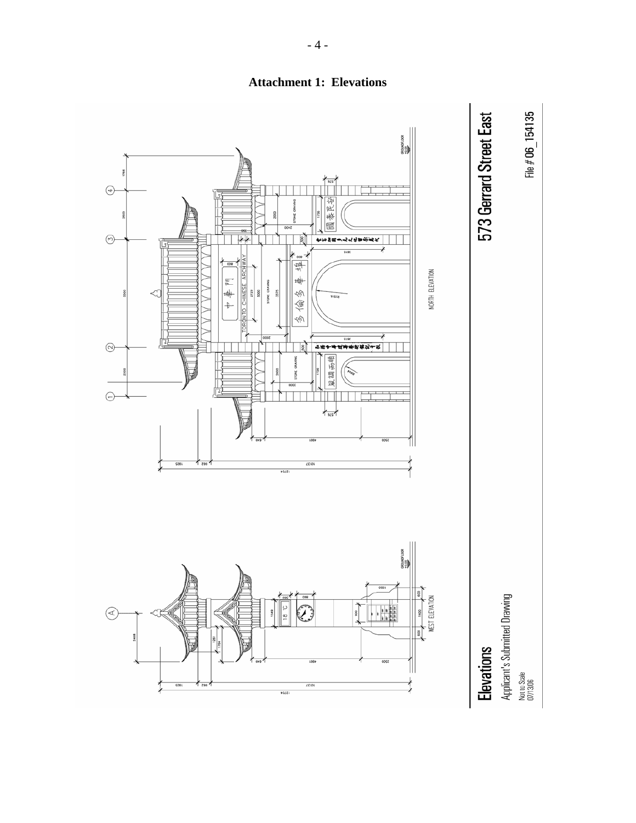

**Attachment 1: Elevations** 

 $-4-$